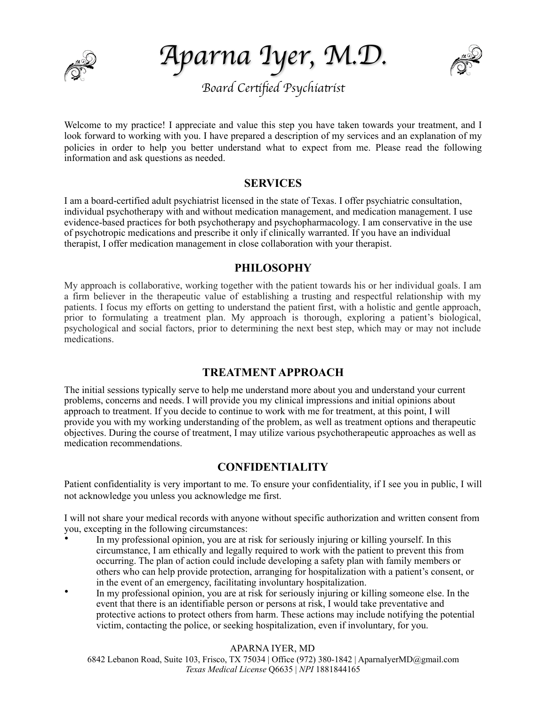

*Aparna Iyer, M.D.* 



Welcome to my practice! I appreciate and value this step you have taken towards your treatment, and I look forward to working with you. I have prepared a description of my services and an explanation of my policies in order to help you better understand what to expect from me. Please read the following information and ask questions as needed.

## **SERVICES**

I am a board-certified adult psychiatrist licensed in the state of Texas. I offer psychiatric consultation, individual psychotherapy with and without medication management, and medication management. I use evidence-based practices for both psychotherapy and psychopharmacology. I am conservative in the use of psychotropic medications and prescribe it only if clinically warranted. If you have an individual therapist, I offer medication management in close collaboration with your therapist.

## **PHILOSOPHY**

My approach is collaborative, working together with the patient towards his or her individual goals. I am a firm believer in the therapeutic value of establishing a trusting and respectful relationship with my patients. I focus my efforts on getting to understand the patient first, with a holistic and gentle approach, prior to formulating a treatment plan. My approach is thorough, exploring a patient's biological, psychological and social factors, prior to determining the next best step, which may or may not include medications.

## **TREATMENT APPROACH**

The initial sessions typically serve to help me understand more about you and understand your current problems, concerns and needs. I will provide you my clinical impressions and initial opinions about approach to treatment. If you decide to continue to work with me for treatment, at this point, I will provide you with my working understanding of the problem, as well as treatment options and therapeutic objectives. During the course of treatment, I may utilize various psychotherapeutic approaches as well as medication recommendations.

# **CONFIDENTIALITY**

Patient confidentiality is very important to me. To ensure your confidentiality, if I see you in public, I will not acknowledge you unless you acknowledge me first.

I will not share your medical records with anyone without specific authorization and written consent from you, excepting in the following circumstances:

- In my professional opinion, you are at risk for seriously injuring or killing yourself. In this circumstance, I am ethically and legally required to work with the patient to prevent this from occurring. The plan of action could include developing a safety plan with family members or others who can help provide protection, arranging for hospitalization with a patient's consent, or in the event of an emergency, facilitating involuntary hospitalization.
- In my professional opinion, you are at risk for seriously injuring or killing someone else. In the event that there is an identifiable person or persons at risk, I would take preventative and protective actions to protect others from harm. These actions may include notifying the potential victim, contacting the police, or seeking hospitalization, even if involuntary, for you.

## APARNA IYER, MD

6842 Lebanon Road, Suite 103, Frisco, TX 75034 | Office (972) 380-1842 | AparnaIyerMD@gmail.com  *Texas Medical License* Q6635 | *NPI* 1881844165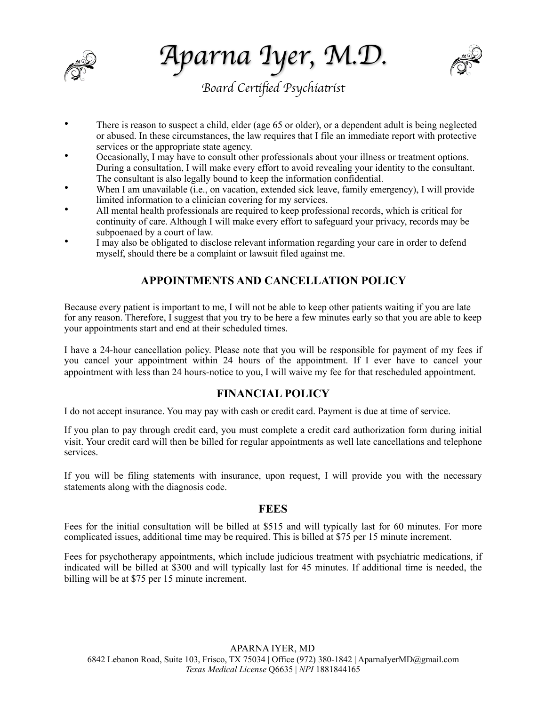

*Aparna Iyer, M.D.* 



- There is reason to suspect a child, elder (age 65 or older), or a dependent adult is being neglected or abused. In these circumstances, the law requires that I file an immediate report with protective services or the appropriate state agency.
- Occasionally, I may have to consult other professionals about your illness or treatment options. During a consultation, I will make every effort to avoid revealing your identity to the consultant. The consultant is also legally bound to keep the information confidential.
- When I am unavailable (i.e., on vacation, extended sick leave, family emergency), I will provide limited information to a clinician covering for my services.
- All mental health professionals are required to keep professional records, which is critical for continuity of care. Although I will make every effort to safeguard your privacy, records may be subpoenaed by a court of law.
- I may also be obligated to disclose relevant information regarding your care in order to defend myself, should there be a complaint or lawsuit filed against me.

# **APPOINTMENTS AND CANCELLATION POLICY**

Because every patient is important to me, I will not be able to keep other patients waiting if you are late for any reason. Therefore, I suggest that you try to be here a few minutes early so that you are able to keep your appointments start and end at their scheduled times.

I have a 24-hour cancellation policy. Please note that you will be responsible for payment of my fees if you cancel your appointment within 24 hours of the appointment. If I ever have to cancel your appointment with less than 24 hours-notice to you, I will waive my fee for that rescheduled appointment.

## **FINANCIAL POLICY**

I do not accept insurance. You may pay with cash or credit card. Payment is due at time of service.

If you plan to pay through credit card, you must complete a credit card authorization form during initial visit. Your credit card will then be billed for regular appointments as well late cancellations and telephone services.

If you will be filing statements with insurance, upon request, I will provide you with the necessary statements along with the diagnosis code.

## **FEES**

Fees for the initial consultation will be billed at \$515 and will typically last for 60 minutes. For more complicated issues, additional time may be required. This is billed at \$75 per 15 minute increment.

Fees for psychotherapy appointments, which include judicious treatment with psychiatric medications, if indicated will be billed at \$300 and will typically last for 45 minutes. If additional time is needed, the billing will be at \$75 per 15 minute increment.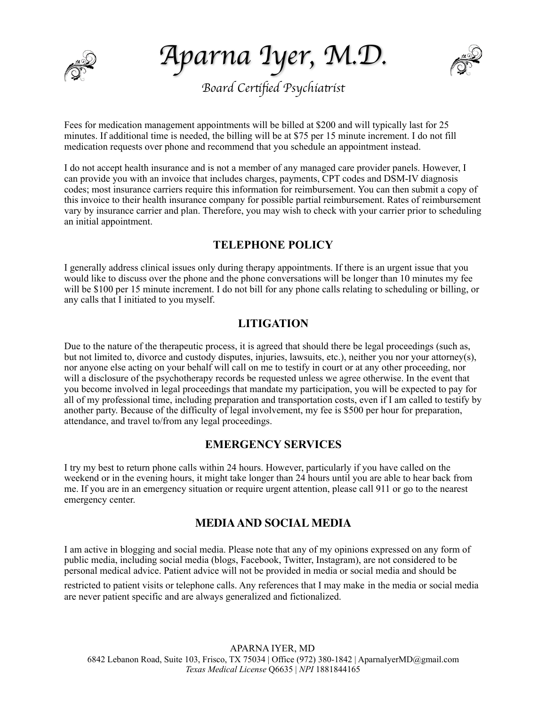

*Aparna Iyer, M.D.* 



Fees for medication management appointments will be billed at \$200 and will typically last for 25 minutes. If additional time is needed, the billing will be at \$75 per 15 minute increment. I do not fill medication requests over phone and recommend that you schedule an appointment instead.

I do not accept health insurance and is not a member of any managed care provider panels. However, I can provide you with an invoice that includes charges, payments, CPT codes and DSM-IV diagnosis codes; most insurance carriers require this information for reimbursement. You can then submit a copy of this invoice to their health insurance company for possible partial reimbursement. Rates of reimbursement vary by insurance carrier and plan. Therefore, you may wish to check with your carrier prior to scheduling an initial appointment.

# **TELEPHONE POLICY**

I generally address clinical issues only during therapy appointments. If there is an urgent issue that you would like to discuss over the phone and the phone conversations will be longer than 10 minutes my fee will be \$100 per 15 minute increment. I do not bill for any phone calls relating to scheduling or billing, or any calls that I initiated to you myself.

# **LITIGATION**

Due to the nature of the therapeutic process, it is agreed that should there be legal proceedings (such as, but not limited to, divorce and custody disputes, injuries, lawsuits, etc.), neither you nor your attorney(s), nor anyone else acting on your behalf will call on me to testify in court or at any other proceeding, nor will a disclosure of the psychotherapy records be requested unless we agree otherwise. In the event that you become involved in legal proceedings that mandate my participation, you will be expected to pay for all of my professional time, including preparation and transportation costs, even if I am called to testify by another party. Because of the difficulty of legal involvement, my fee is \$500 per hour for preparation, attendance, and travel to/from any legal proceedings.

## **EMERGENCY SERVICES**

I try my best to return phone calls within 24 hours. However, particularly if you have called on the weekend or in the evening hours, it might take longer than 24 hours until you are able to hear back from me. If you are in an emergency situation or require urgent attention, please call 911 or go to the nearest emergency center.

## **MEDIA AND SOCIAL MEDIA**

I am active in blogging and social media. Please note that any of my opinions expressed on any form of public media, including social media (blogs, Facebook, Twitter, Instagram), are not considered to be personal medical advice. Patient advice will not be provided in media or social media and should be

restricted to patient visits or telephone calls. Any references that I may make in the media or social media are never patient specific and are always generalized and fictionalized.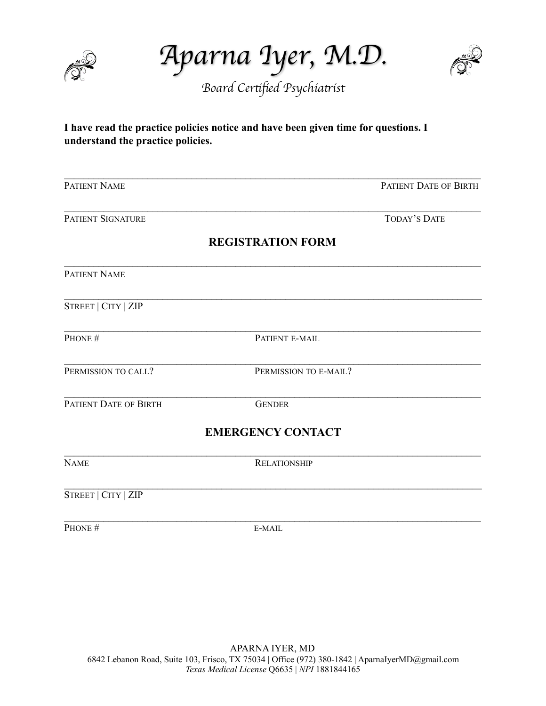

*Aparna Iyer, M.D.* 



# **I have read the practice policies notice and have been given time for questions. I understand the practice policies.**

| PATIENT NAME                 |                          | PATIENT DATE OF BIRTH |
|------------------------------|--------------------------|-----------------------|
| <b>PATIENT SIGNATURE</b>     |                          | <b>TODAY'S DATE</b>   |
|                              | <b>REGISTRATION FORM</b> |                       |
| PATIENT NAME                 |                          |                       |
| STREET   CITY   ZIP          |                          |                       |
| PHONE #                      | PATIENT E-MAIL           |                       |
| PERMISSION TO CALL?          | PERMISSION TO E-MAIL?    |                       |
| <b>PATIENT DATE OF BIRTH</b> | <b>GENDER</b>            |                       |
|                              | <b>EMERGENCY CONTACT</b> |                       |
| <b>NAME</b>                  | <b>RELATIONSHIP</b>      |                       |
| STREET   CITY   ZIP          |                          |                       |
| PHONE #                      | E-MAIL                   |                       |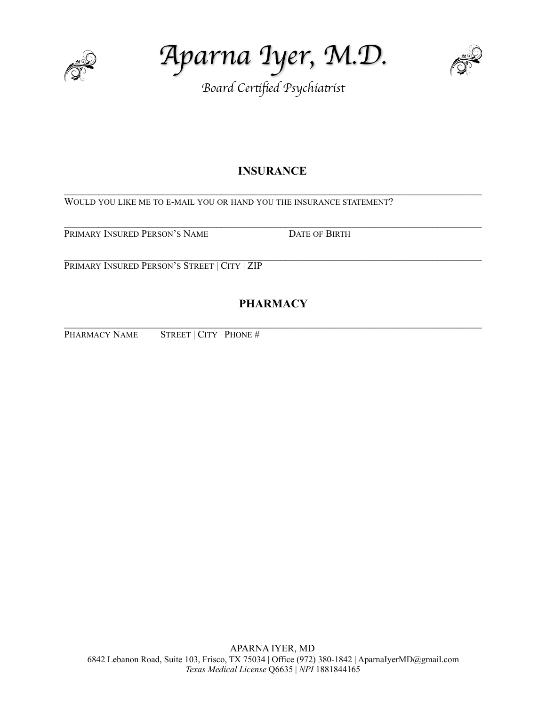

*Aparna Iyer, M.D.* 



# **INSURANCE**

 $\mathcal{L}_\text{max} = \mathcal{L}_\text{max} = \mathcal{L}_\text{max} = \mathcal{L}_\text{max} = \mathcal{L}_\text{max} = \mathcal{L}_\text{max} = \mathcal{L}_\text{max} = \mathcal{L}_\text{max} = \mathcal{L}_\text{max} = \mathcal{L}_\text{max} = \mathcal{L}_\text{max} = \mathcal{L}_\text{max} = \mathcal{L}_\text{max} = \mathcal{L}_\text{max} = \mathcal{L}_\text{max} = \mathcal{L}_\text{max} = \mathcal{L}_\text{max} = \mathcal{L}_\text{max} = \mathcal{$ 

 $\mathcal{L}_\text{max} = \mathcal{L}_\text{max} = \mathcal{L}_\text{max} = \mathcal{L}_\text{max} = \mathcal{L}_\text{max} = \mathcal{L}_\text{max} = \mathcal{L}_\text{max} = \mathcal{L}_\text{max} = \mathcal{L}_\text{max} = \mathcal{L}_\text{max} = \mathcal{L}_\text{max} = \mathcal{L}_\text{max} = \mathcal{L}_\text{max} = \mathcal{L}_\text{max} = \mathcal{L}_\text{max} = \mathcal{L}_\text{max} = \mathcal{L}_\text{max} = \mathcal{L}_\text{max} = \mathcal{$ 

WOULD YOU LIKE ME TO E-MAIL YOU OR HAND YOU THE INSURANCE STATEMENT?

PRIMARY INSURED PERSON'S NAME DATE OF BIRTH

 $\_$ PRIMARY INSURED PERSON'S STREET | CITY | ZIP

# **PHARMACY**

 $\mathcal{L}_\text{max} = \mathcal{L}_\text{max} = \mathcal{L}_\text{max} = \mathcal{L}_\text{max} = \mathcal{L}_\text{max} = \mathcal{L}_\text{max} = \mathcal{L}_\text{max} = \mathcal{L}_\text{max} = \mathcal{L}_\text{max} = \mathcal{L}_\text{max} = \mathcal{L}_\text{max} = \mathcal{L}_\text{max} = \mathcal{L}_\text{max} = \mathcal{L}_\text{max} = \mathcal{L}_\text{max} = \mathcal{L}_\text{max} = \mathcal{L}_\text{max} = \mathcal{L}_\text{max} = \mathcal{$ 

PHARMACY NAME STREET | CITY | PHONE #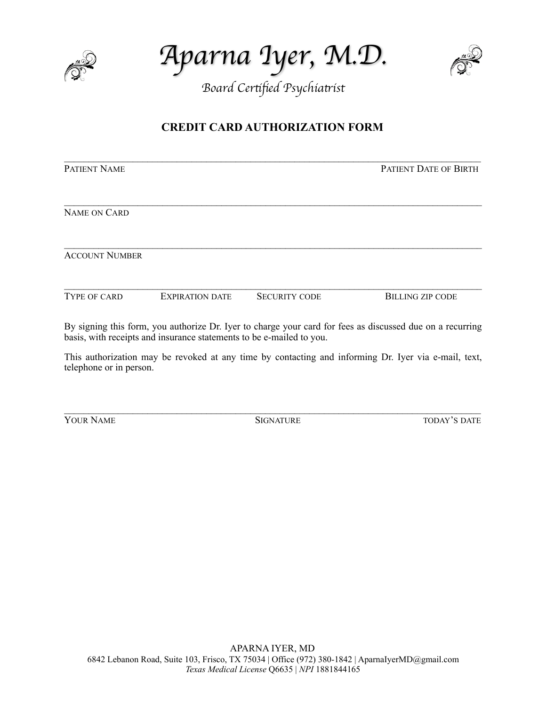

*Aparna Iyer, M.D.* 



# **CREDIT CARD AUTHORIZATION FORM**

| <b>PATIENT NAME</b>   |                                                                      |                      | <b>PATIENT DATE OF BIRTH</b>                                                                              |
|-----------------------|----------------------------------------------------------------------|----------------------|-----------------------------------------------------------------------------------------------------------|
|                       |                                                                      |                      |                                                                                                           |
| <b>NAME ON CARD</b>   |                                                                      |                      |                                                                                                           |
| <b>ACCOUNT NUMBER</b> |                                                                      |                      |                                                                                                           |
| <b>TYPE OF CARD</b>   | <b>EXPIRATION DATE</b>                                               | <b>SECURITY CODE</b> | <b>BILLING ZIP CODE</b>                                                                                   |
|                       | basis, with receipts and insurance statements to be e-mailed to you. |                      | By signing this form, you authorize Dr. Iyer to charge your card for fees as discussed due on a recurring |

This authorization may be revoked at any time by contacting and informing Dr. Iyer via e-mail, text, telephone or in person.

 $\mathcal{L}_\text{max} = \mathcal{L}_\text{max} = \mathcal{L}_\text{max} = \mathcal{L}_\text{max} = \mathcal{L}_\text{max} = \mathcal{L}_\text{max} = \mathcal{L}_\text{max} = \mathcal{L}_\text{max} = \mathcal{L}_\text{max} = \mathcal{L}_\text{max} = \mathcal{L}_\text{max} = \mathcal{L}_\text{max} = \mathcal{L}_\text{max} = \mathcal{L}_\text{max} = \mathcal{L}_\text{max} = \mathcal{L}_\text{max} = \mathcal{L}_\text{max} = \mathcal{L}_\text{max} = \mathcal{$ 

**YOUR NAME** SIGNATURE TODAY'S DATE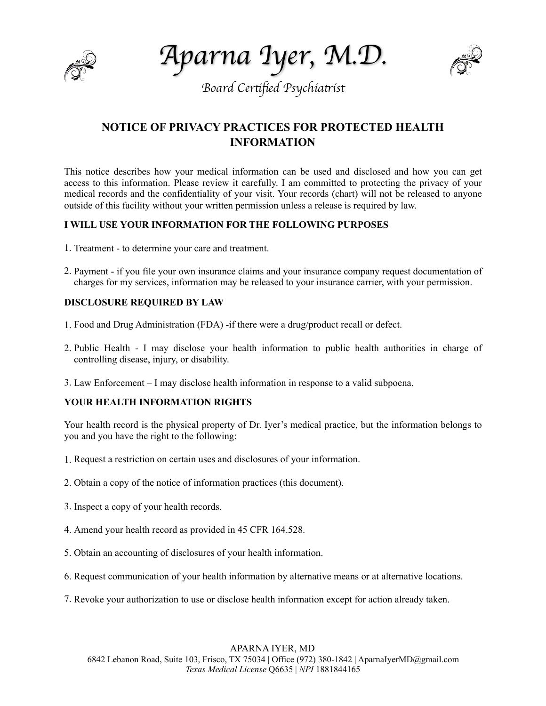

*Aparna Iyer, M.D.* 



# **NOTICE OF PRIVACY PRACTICES FOR PROTECTED HEALTH INFORMATION**

This notice describes how your medical information can be used and disclosed and how you can get access to this information. Please review it carefully. I am committed to protecting the privacy of your medical records and the confidentiality of your visit. Your records (chart) will not be released to anyone outside of this facility without your written permission unless a release is required by law.

### **I WILL USE YOUR INFORMATION FOR THE FOLLOWING PURPOSES**

- 1. Treatment to determine your care and treatment.
- 2. Payment if you file your own insurance claims and your insurance company request documentation of charges for my services, information may be released to your insurance carrier, with your permission.

## **DISCLOSURE REQUIRED BY LAW**

- 1. Food and Drug Administration (FDA) -if there were a drug/product recall or defect.
- 2. Public Health I may disclose your health information to public health authorities in charge of controlling disease, injury, or disability.
- 3. Law Enforcement I may disclose health information in response to a valid subpoena.

### **YOUR HEALTH INFORMATION RIGHTS**

Your health record is the physical property of Dr. Iyer's medical practice, but the information belongs to you and you have the right to the following:

- 1. Request a restriction on certain uses and disclosures of your information.
- 2. Obtain a copy of the notice of information practices (this document).
- 3. Inspect a copy of your health records.
- 4. Amend your health record as provided in 45 CFR 164.528.
- 5. Obtain an accounting of disclosures of your health information.
- 6. Request communication of your health information by alternative means or at alternative locations.
- 7. Revoke your authorization to use or disclose health information except for action already taken.

### APARNA IYER, MD

6842 Lebanon Road, Suite 103, Frisco, TX 75034 | Office (972) 380-1842 | AparnaIyerMD@gmail.com  *Texas Medical License* Q6635 | *NPI* 1881844165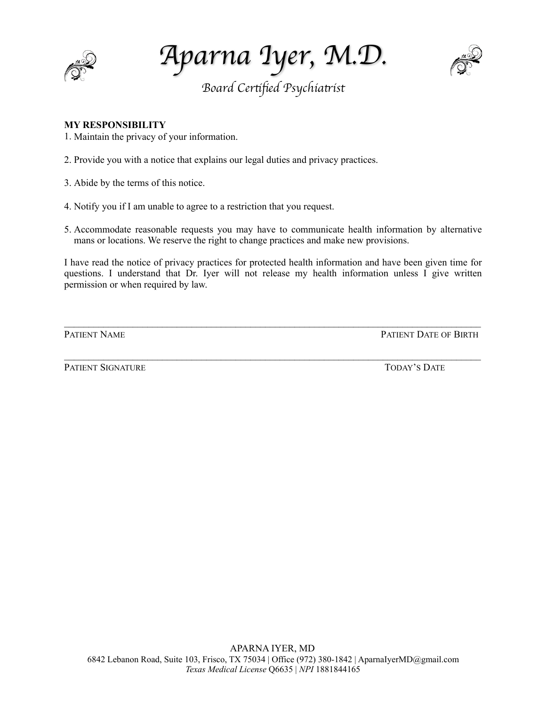

*Aparna Iyer, M.D.* 



## **MY RESPONSIBILITY**

1. Maintain the privacy of your information.

2. Provide you with a notice that explains our legal duties and privacy practices.

3. Abide by the terms of this notice.

- 4. Notify you if I am unable to agree to a restriction that you request.
- 5. Accommodate reasonable requests you may have to communicate health information by alternative mans or locations. We reserve the right to change practices and make new provisions.

I have read the notice of privacy practices for protected health information and have been given time for questions. I understand that Dr. Iyer will not release my health information unless I give written permission or when required by law.

 $\_$ 

 $\mathcal{L}_\text{max} = \mathcal{L}_\text{max} = \mathcal{L}_\text{max} = \mathcal{L}_\text{max} = \mathcal{L}_\text{max} = \mathcal{L}_\text{max} = \mathcal{L}_\text{max} = \mathcal{L}_\text{max} = \mathcal{L}_\text{max} = \mathcal{L}_\text{max} = \mathcal{L}_\text{max} = \mathcal{L}_\text{max} = \mathcal{L}_\text{max} = \mathcal{L}_\text{max} = \mathcal{L}_\text{max} = \mathcal{L}_\text{max} = \mathcal{L}_\text{max} = \mathcal{L}_\text{max} = \mathcal{$ 

**PATIENT NAME** PATIENT NAME

PATIENT SIGNATURE TODAY'S DATE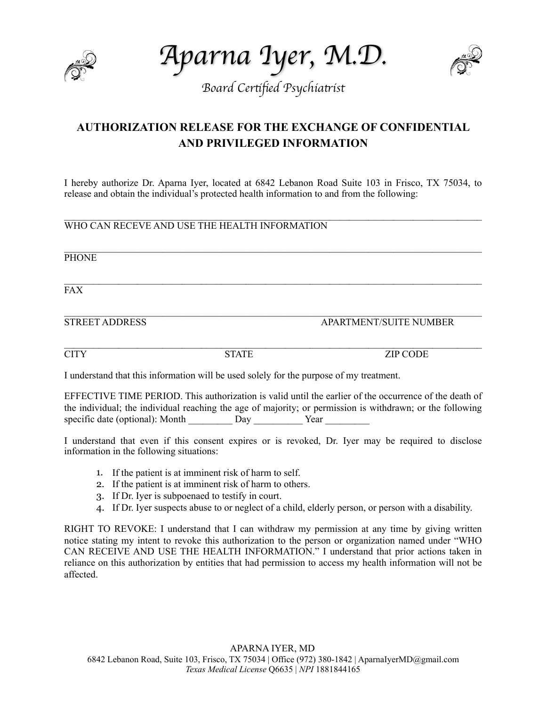

*Aparna Iyer, M.D.* 



# **AUTHORIZATION RELEASE FOR THE EXCHANGE OF CONFIDENTIAL AND PRIVILEGED INFORMATION**

I hereby authorize Dr. Aparna Iyer, located at 6842 Lebanon Road Suite 103 in Frisco, TX 75034, to release and obtain the individual's protected health information to and from the following:

 $\_$ 

 $\_$ 

 $\_$ 

WHO CAN RECEVE AND USE THE HEALTH INFORMATION

PHONE

 $\_$ FAX

STREET ADDRESS APARTMENT/SUITE NUMBER

 $\_$ CITY STATE ZIP CODE

I understand that this information will be used solely for the purpose of my treatment.

EFFECTIVE TIME PERIOD. This authorization is valid until the earlier of the occurrence of the death of the individual; the individual reaching the age of majority; or permission is withdrawn; or the following specific date (optional): Month Day Year

I understand that even if this consent expires or is revoked, Dr. Iyer may be required to disclose information in the following situations:

- 1. If the patient is at imminent risk of harm to self.
- 2. If the patient is at imminent risk of harm to others.
- 3. If Dr. Iyer is subpoenaed to testify in court.
- 4. If Dr. Iyer suspects abuse to or neglect of a child, elderly person, or person with a disability.

RIGHT TO REVOKE: I understand that I can withdraw my permission at any time by giving written notice stating my intent to revoke this authorization to the person or organization named under "WHO CAN RECEIVE AND USE THE HEALTH INFORMATION." I understand that prior actions taken in reliance on this authorization by entities that had permission to access my health information will not be affected.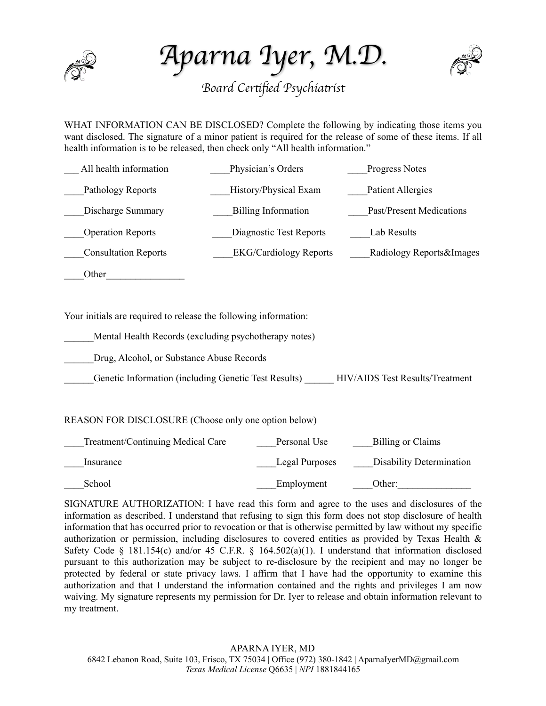

*Aparna Iyer, M.D.* 



WHAT INFORMATION CAN BE DISCLOSED? Complete the following by indicating those items you want disclosed. The signature of a minor patient is required for the release of some of these items. If all health information is to be released, then check only "All health information."

| Physician's Orders            | <b>Progress Notes</b>    |
|-------------------------------|--------------------------|
| History/Physical Exam         | Patient Allergies        |
| <b>Billing Information</b>    | Past/Present Medications |
| Diagnostic Test Reports       | Lab Results              |
| <b>EKG/Cardiology Reports</b> | Radiology Reports&Images |
|                               |                          |
|                               |                          |
|                               |                          |

Your initials are required to release the following information:

Mental Health Records (excluding psychotherapy notes)

Drug, Alcohol, or Substance Abuse Records

Genetic Information (including Genetic Test Results) HIV/AIDS Test Results/Treatment

### REASON FOR DISCLOSURE (Choose only one option below)

| Treatment/Continuing Medical Care | Personal Use   | Billing or Claims        |
|-----------------------------------|----------------|--------------------------|
| Insurance                         | Legal Purposes | Disability Determination |
| School                            | Employment     | Other:                   |

SIGNATURE AUTHORIZATION: I have read this form and agree to the uses and disclosures of the information as described. I understand that refusing to sign this form does not stop disclosure of health information that has occurred prior to revocation or that is otherwise permitted by law without my specific authorization or permission, including disclosures to covered entities as provided by Texas Health & Safety Code  $\S$  181.154(c) and/or 45 C.F.R.  $\S$  164.502(a)(1). I understand that information disclosed pursuant to this authorization may be subject to re-disclosure by the recipient and may no longer be protected by federal or state privacy laws. I affirm that I have had the opportunity to examine this authorization and that I understand the information contained and the rights and privileges I am now waiving. My signature represents my permission for Dr. Iyer to release and obtain information relevant to my treatment.

APARNA IYER, MD 6842 Lebanon Road, Suite 103, Frisco, TX 75034 | Office (972) 380-1842 | AparnaIyerMD@gmail.com  *Texas Medical License* Q6635 | *NPI* 1881844165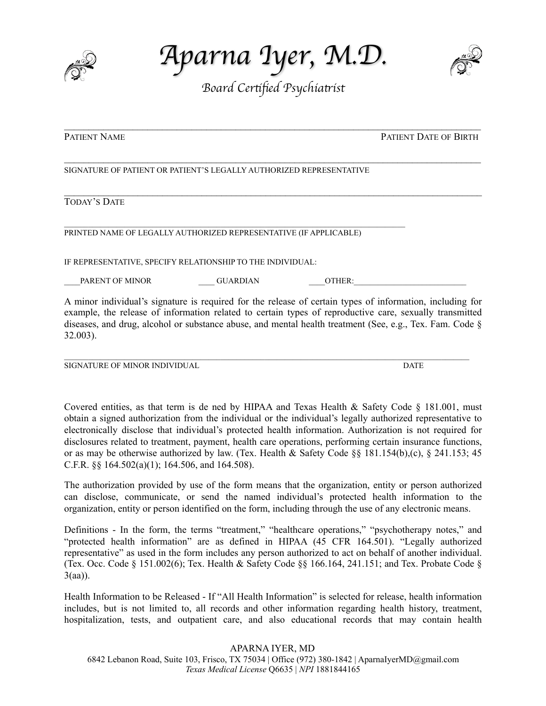

*Aparna Iyer, M.D.* 



 $\mathcal{L}_\text{max} = \mathcal{L}_\text{max} = \mathcal{L}_\text{max} = \mathcal{L}_\text{max} = \mathcal{L}_\text{max} = \mathcal{L}_\text{max} = \mathcal{L}_\text{max} = \mathcal{L}_\text{max} = \mathcal{L}_\text{max} = \mathcal{L}_\text{max} = \mathcal{L}_\text{max} = \mathcal{L}_\text{max} = \mathcal{L}_\text{max} = \mathcal{L}_\text{max} = \mathcal{L}_\text{max} = \mathcal{L}_\text{max} = \mathcal{L}_\text{max} = \mathcal{L}_\text{max} = \mathcal{$ 

 $\mathcal{L}_\text{max} = \mathcal{L}_\text{max} = \mathcal{L}_\text{max} = \mathcal{L}_\text{max} = \mathcal{L}_\text{max} = \mathcal{L}_\text{max} = \mathcal{L}_\text{max} = \mathcal{L}_\text{max} = \mathcal{L}_\text{max} = \mathcal{L}_\text{max} = \mathcal{L}_\text{max} = \mathcal{L}_\text{max} = \mathcal{L}_\text{max} = \mathcal{L}_\text{max} = \mathcal{L}_\text{max} = \mathcal{L}_\text{max} = \mathcal{L}_\text{max} = \mathcal{L}_\text{max} = \mathcal{$ 

 $\_$ 

**PATIENT NAME** PATIENT NAME

#### SIGNATURE OF PATIENT OR PATIENT'S LEGALLY AUTHORIZED REPRESENTATIVE

## TODAY'S DATE

 $\mathcal{L}_\text{max}$ PRINTED NAME OF LEGALLY AUTHORIZED REPRESENTATIVE (IF APPLICABLE)

IF REPRESENTATIVE, SPECIFY RELATIONSHIP TO THE INDIVIDUAL:

PARENT OF MINOR GUARDIAN QUER:

A minor individual's signature is required for the release of certain types of information, including for example, the release of information related to certain types of reproductive care, sexually transmitted diseases, and drug, alcohol or substance abuse, and mental health treatment (See, e.g., Tex. Fam. Code § 32.003).

SIGNATURE OF MINOR INDIVIDUAL **Example 2008** CONDUCTER SIGNATURE OF MINOR INDIVIDUAL

Covered entities, as that term is de ned by HIPAA and Texas Health & Safety Code § 181.001, must obtain a signed authorization from the individual or the individual's legally authorized representative to electronically disclose that individual's protected health information. Authorization is not required for disclosures related to treatment, payment, health care operations, performing certain insurance functions, or as may be otherwise authorized by law. (Tex. Health & Safety Code §§ 181.154(b),(c), § 241.153; 45 C.F.R. §§ 164.502(a)(1); 164.506, and 164.508).

The authorization provided by use of the form means that the organization, entity or person authorized can disclose, communicate, or send the named individual's protected health information to the organization, entity or person identified on the form, including through the use of any electronic means.

Definitions - In the form, the terms "treatment," "healthcare operations," "psychotherapy notes," and "protected health information" are as defined in HIPAA (45 CFR 164.501). "Legally authorized representative" as used in the form includes any person authorized to act on behalf of another individual. (Tex. Occ. Code § 151.002(6); Tex. Health & Safety Code §§ 166.164, 241.151; and Tex. Probate Code § 3(aa)).

Health Information to be Released - If "All Health Information" is selected for release, health information includes, but is not limited to, all records and other information regarding health history, treatment, hospitalization, tests, and outpatient care, and also educational records that may contain health

### APARNA IYER, MD

6842 Lebanon Road, Suite 103, Frisco, TX 75034 | Office (972) 380-1842 | AparnaIyerMD@gmail.com  *Texas Medical License* Q6635 | *NPI* 1881844165